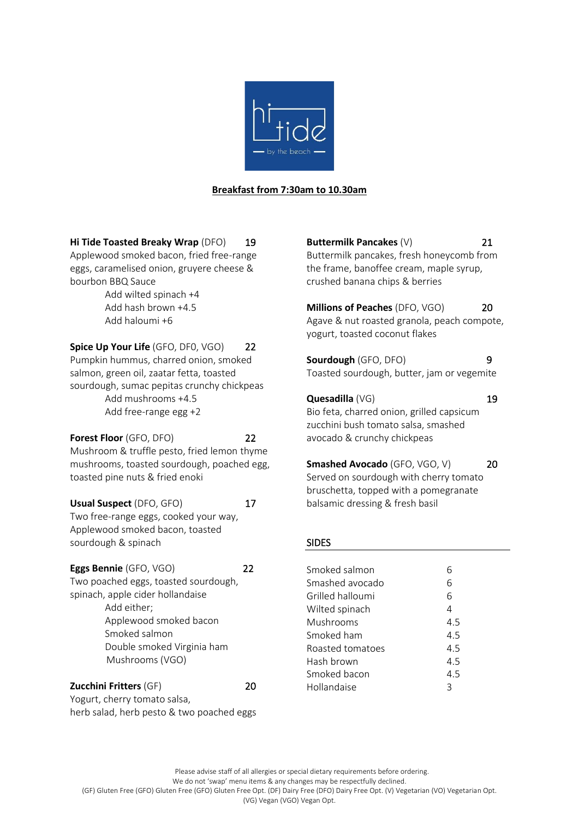

## **Breakfast from 7:30am to 10.30am**

**Hi Tide Toasted Breaky Wrap** (DFO) 19

Applewood smoked bacon, fried free-range eggs, caramelised onion, gruyere cheese & bourbon BBQ Sauce

Add wilted spinach +4 Add hash brown +4.5 Add haloumi +6

**Spice Up Your Life** (GFO, DF0, VGO) 22 Pumpkin hummus, charred onion, smoked salmon, green oil, zaatar fetta, toasted sourdough, sumac pepitas crunchy chickpeas Add mushrooms +4.5 Add free-range egg +2

**Forest Floor** (GFO, DFO) 22 Mushroom & truffle pesto, fried lemon thyme mushrooms, toasted sourdough, poached egg, toasted pine nuts & fried enoki

**Usual Suspect** (DFO, GFO) 17 Two free-range eggs, cooked your way, Applewood smoked bacon, toasted sourdough & spinach

**Eggs Bennie** (GFO, VGO) 22 Two poached eggs, toasted sourdough, spinach, apple cider hollandaise Add either; Applewood smoked bacon Smoked salmon Double smoked Virginia ham Mushrooms (VGO)

**Zucchini Fritters** (GF) 20 Yogurt, cherry tomato salsa, herb salad, herb pesto & two poached eggs **Buttermilk Pancakes** (V) 21 Buttermilk pancakes, fresh honeycomb from the frame, banoffee cream, maple syrup, crushed banana chips & berries

**Millions of Peaches** (DFO, VGO) 20 Agave & nut roasted granola, peach compote, yogurt, toasted coconut flakes

**Sourdough** (GFO, DFO) 9 Toasted sourdough, butter, jam or vegemite

**Quesadilla** (VG) 19 Bio feta, charred onion, grilled capsicum zucchini bush tomato salsa, smashed avocado & crunchy chickpeas

**Smashed Avocado** (GFO, VGO, V) 20 Served on sourdough with cherry tomato bruschetta, topped with a pomegranate balsamic dressing & fresh basil

#### SIDES

| Smoked salmon    | 6   |
|------------------|-----|
| Smashed avocado  | 6   |
| Grilled halloumi | 6   |
| Wilted spinach   | 4   |
| Mushrooms        | 4.5 |
| Smoked ham       | 4.5 |
| Roasted tomatoes | 4.5 |
| Hash brown       | 4.5 |
| Smoked bacon     | 4.5 |
| Hollandaise      | ς   |
|                  |     |

Please advise staff of all allergies or special dietary requirements before ordering.

We do not 'swap' menu items & any changes may be respectfully declined.

(GF) Gluten Free (GFO) Gluten Free (GFO) Gluten Free Opt. (DF) Dairy Free (DFO) Dairy Free Opt. (V) Vegetarian (VO) Vegetarian Opt.

(VG) Vegan (VGO) Vegan Opt.